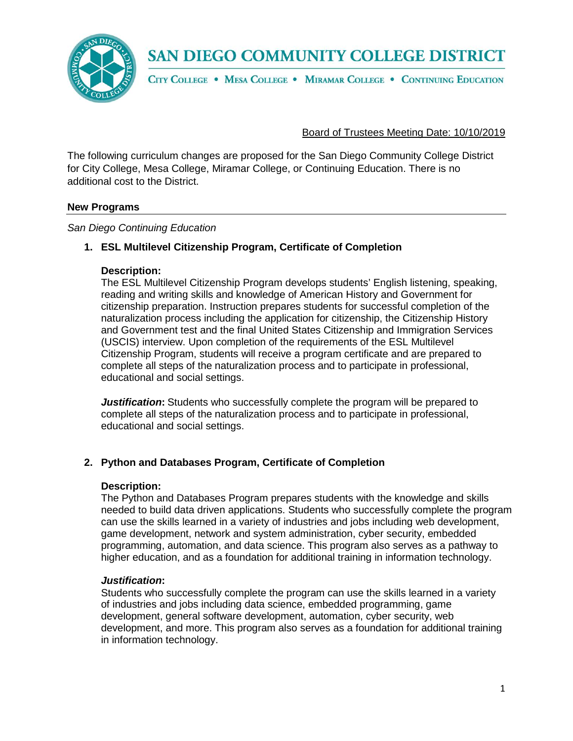SAN DIEGO COMMUNITY COLLEGE DISTRICT



CITY COLLEGE . MESA COLLEGE . MIRAMAR COLLEGE . CONTINUING EDUCATION

## Board of Trustees Meeting Date: 10/10/2019

The following curriculum changes are proposed for the San Diego Community College District for City College, Mesa College, Miramar College, or Continuing Education. There is no additional cost to the District.

## **New Programs**

*San Diego Continuing Education*

## **1. ESL Multilevel Citizenship Program, Certificate of Completion**

### **Description:**

The ESL Multilevel Citizenship Program develops students' English listening, speaking, reading and writing skills and knowledge of American History and Government for citizenship preparation. Instruction prepares students for successful completion of the naturalization process including the application for citizenship, the Citizenship History and Government test and the final United States Citizenship and Immigration Services (USCIS) interview. Upon completion of the requirements of the ESL Multilevel Citizenship Program, students will receive a program certificate and are prepared to complete all steps of the naturalization process and to participate in professional, educational and social settings.

*Justification***:** Students who successfully complete the program will be prepared to complete all steps of the naturalization process and to participate in professional, educational and social settings.

## **2. Python and Databases Program, Certificate of Completion**

#### **Description:**

The Python and Databases Program prepares students with the knowledge and skills needed to build data driven applications. Students who successfully complete the program can use the skills learned in a variety of industries and jobs including web development, game development, network and system administration, cyber security, embedded programming, automation, and data science. This program also serves as a pathway to higher education, and as a foundation for additional training in information technology.

## *Justification***:**

Students who successfully complete the program can use the skills learned in a variety of industries and jobs including data science, embedded programming, game development, general software development, automation, cyber security, web development, and more. This program also serves as a foundation for additional training in information technology.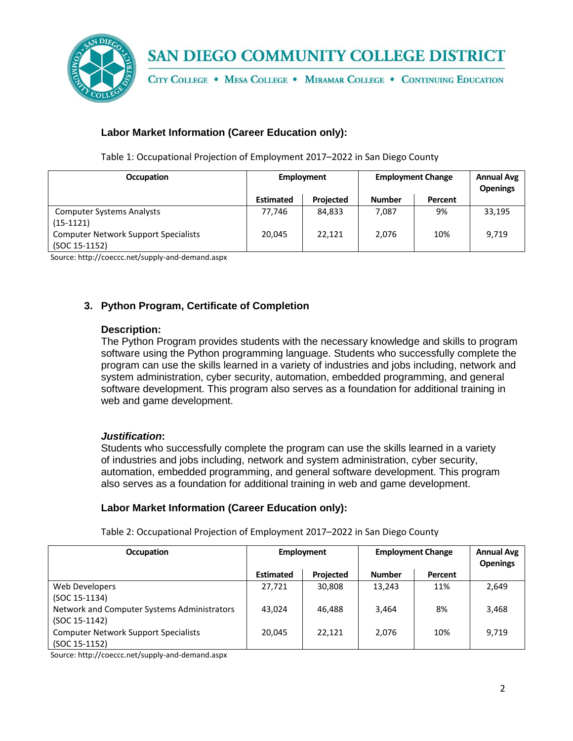

# SAN DIEGO COMMUNITY COLLEGE DISTRICT

CITY COLLEGE . MESA COLLEGE . MIRAMAR COLLEGE . CONTINUING EDUCATION

## **Labor Market Information (Career Education only):**

Table 1: Occupational Projection of Employment 2017–2022 in San Diego County

| <b>Occupation</b>                                            | Employment       |                  | <b>Employment Change</b> |         | <b>Annual Avg</b><br><b>Openings</b> |
|--------------------------------------------------------------|------------------|------------------|--------------------------|---------|--------------------------------------|
|                                                              | <b>Estimated</b> | <b>Projected</b> | <b>Number</b>            | Percent |                                      |
| <b>Computer Systems Analysts</b><br>$(15-1121)$              | 77.746           | 84,833           | 7,087                    | 9%      | 33,195                               |
| <b>Computer Network Support Specialists</b><br>(SOC 15-1152) | 20,045           | 22.121           | 2,076                    | 10%     | 9,719                                |

Source: http://coeccc.net/supply-and-demand.aspx

## **3. Python Program, Certificate of Completion**

### **Description:**

The Python Program provides students with the necessary knowledge and skills to program software using the Python programming language. Students who successfully complete the program can use the skills learned in a variety of industries and jobs including, network and system administration, cyber security, automation, embedded programming, and general software development. This program also serves as a foundation for additional training in web and game development.

## *Justification***:**

Students who successfully complete the program can use the skills learned in a variety of industries and jobs including, network and system administration, cyber security, automation, embedded programming, and general software development. This program also serves as a foundation for additional training in web and game development.

## **Labor Market Information (Career Education only):**

| <b>Occupation</b>                           | Employment       |                  | <b>Employment Change</b> |         | <b>Annual Avg</b><br><b>Openings</b> |
|---------------------------------------------|------------------|------------------|--------------------------|---------|--------------------------------------|
|                                             | <b>Estimated</b> | <b>Projected</b> | <b>Number</b>            | Percent |                                      |
| Web Developers                              | 27,721           | 30,808           | 13,243                   | 11%     | 2,649                                |
| (SOC 15-1134)                               |                  |                  |                          |         |                                      |
| Network and Computer Systems Administrators | 43.024           | 46,488           | 3,464                    | 8%      | 3,468                                |
| (SOC 15-1142)                               |                  |                  |                          |         |                                      |
| <b>Computer Network Support Specialists</b> | 20,045           | 22,121           | 2,076                    | 10%     | 9,719                                |
| (SOC 15-1152)                               |                  |                  |                          |         |                                      |

Table 2: Occupational Projection of Employment 2017–2022 in San Diego County

Source: http://coeccc.net/supply-and-demand.aspx